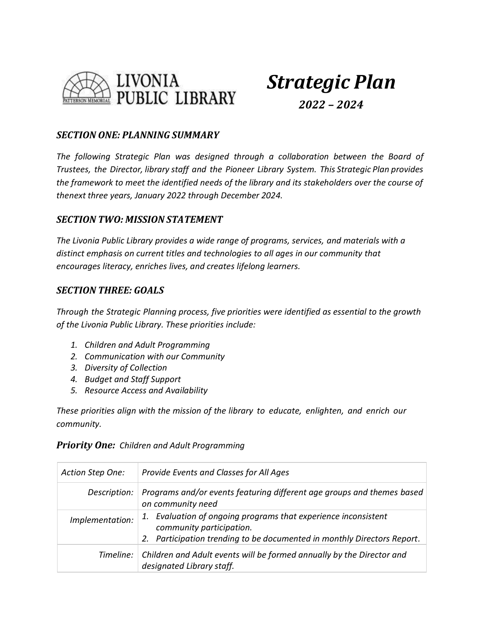

# *Strategic Plan 2022 – 2024*

### *SECTION ONE: PLANNING SUMMARY*

*The following Strategic Plan was designed through a collaboration between the Board of Trustees, the Director, library staff and the Pioneer Library System. This Strategic Plan provides the framework to meet the identified needs of the library and its stakeholders over the course of thenext three years, January 2022 through December 2024.*

### *SECTION TWO: MISSION STATEMENT*

*The Livonia Public Library provides a wide range of programs, services, and materials with a distinct emphasis on current titles and technologies to all ages in our community that encourages literacy, enriches lives, and creates lifelong learners.*

### *SECTION THREE: GOALS*

*Through the Strategic Planning process, five priorities were identified as essential to the growth of the Livonia Public Library. These priorities include:*

- *1. Children and Adult Programming*
- *2. Communication with our Community*
- *3. Diversity of Collection*
- *4. Budget and Staff Support*
- *5. Resource Access and Availability*

*These priorities align with the mission of the library to educate, enlighten, and enrich our community.*

#### *Priority One: Children and Adult Programming*

| Action Step One: | Provide Events and Classes for All Ages                                                                                                                                  |
|------------------|--------------------------------------------------------------------------------------------------------------------------------------------------------------------------|
| Description:     | Programs and/or events featuring different age groups and themes based<br>on community need                                                                              |
| Implementation:  | Evaluation of ongoing programs that experience inconsistent<br>1.<br>community participation.<br>2. Participation trending to be documented in monthly Directors Report. |
|                  | Timeline:   Children and Adult events will be formed annually by the Director and<br>designated Library staff.                                                           |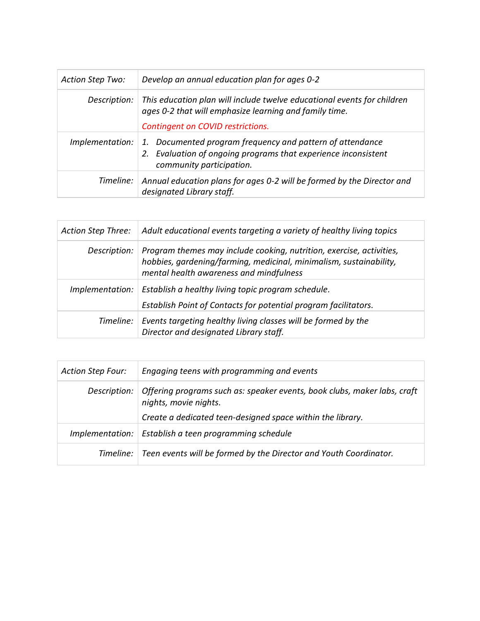| <b>Action Step Two:</b> | Develop an annual education plan for ages 0-2                                                                                                           |
|-------------------------|---------------------------------------------------------------------------------------------------------------------------------------------------------|
| Description:            | This education plan will include twelve educational events for children<br>ages 0-2 that will emphasize learning and family time.                       |
|                         | Contingent on COVID restrictions.                                                                                                                       |
| Implementation:         | 1. Documented program frequency and pattern of attendance<br>2. Evaluation of ongoing programs that experience inconsistent<br>community participation. |
| Timeline:               | Annual education plans for ages 0-2 will be formed by the Director and<br>designated Library staff.                                                     |

| Action Step Three: | Adult educational events targeting a variety of healthy living topics                                                                                                                 |
|--------------------|---------------------------------------------------------------------------------------------------------------------------------------------------------------------------------------|
| Description:       | Program themes may include cooking, nutrition, exercise, activities,<br>hobbies, gardening/farming, medicinal, minimalism, sustainability,<br>mental health awareness and mindfulness |
|                    | Implementation:   Establish a healthy living topic program schedule.<br>Establish Point of Contacts for potential program facilitators.                                               |
| Timeline:          | Events targeting healthy living classes will be formed by the<br>Director and designated Library staff.                                                                               |

| <b>Action Step Four:</b> | Engaging teens with programming and events                                                        |
|--------------------------|---------------------------------------------------------------------------------------------------|
| Description:             | Offering programs such as: speaker events, book clubs, maker labs, craft<br>nights, movie nights. |
|                          | Create a dedicated teen-designed space within the library.                                        |
| Implementation:          | Establish a teen programming schedule                                                             |
|                          | Timeline: Teen events will be formed by the Director and Youth Coordinator.                       |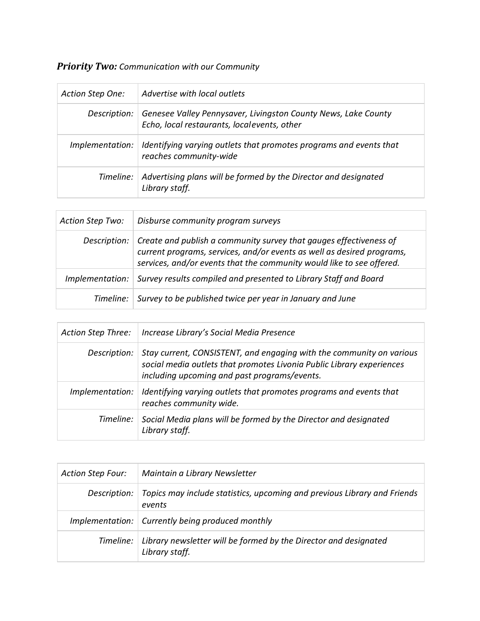### *Priority Two: Communication with our Community*

| Action Step One: | Advertise with local outlets                                                                                  |
|------------------|---------------------------------------------------------------------------------------------------------------|
| Description:     | Genesee Valley Pennysaver, Livingston County News, Lake County<br>Echo, local restaurants, localevents, other |
| Implementation:  | Identifying varying outlets that promotes programs and events that<br>reaches community-wide                  |
| Timeline:        | Advertising plans will be formed by the Director and designated<br>Library staff.                             |

| <b>Action Step Two:</b> | Disburse community program surveys                                                                                                                                                                                            |
|-------------------------|-------------------------------------------------------------------------------------------------------------------------------------------------------------------------------------------------------------------------------|
| Description:            | $\vert$ Create and publish a community survey that gauges effectiveness of<br>current programs, services, and/or events as well as desired programs,<br>services, and/or events that the community would like to see offered. |
| Implementation:         | Survey results compiled and presented to Library Staff and Board                                                                                                                                                              |
| Timeline:               | Survey to be published twice per year in January and June                                                                                                                                                                     |

| Action Step Three: | Increase Library's Social Media Presence                                                                                                                                                      |
|--------------------|-----------------------------------------------------------------------------------------------------------------------------------------------------------------------------------------------|
| Description:       | Stay current, CONSISTENT, and engaging with the community on various<br>social media outlets that promotes Livonia Public Library experiences<br>including upcoming and past programs/events. |
| Implementation:    | I dentifying varying outlets that promotes programs and events that<br>reaches community wide.                                                                                                |
|                    | Timeline: Social Media plans will be formed by the Director and designated<br>Library staff.                                                                                                  |

| <b>Action Step Four:</b> | Maintain a Library Newsletter                                                      |
|--------------------------|------------------------------------------------------------------------------------|
| Description:             | Topics may include statistics, upcoming and previous Library and Friends<br>events |
|                          | Implementation: Currently being produced monthly                                   |
| Timeline:                | Library newsletter will be formed by the Director and designated<br>Library staff. |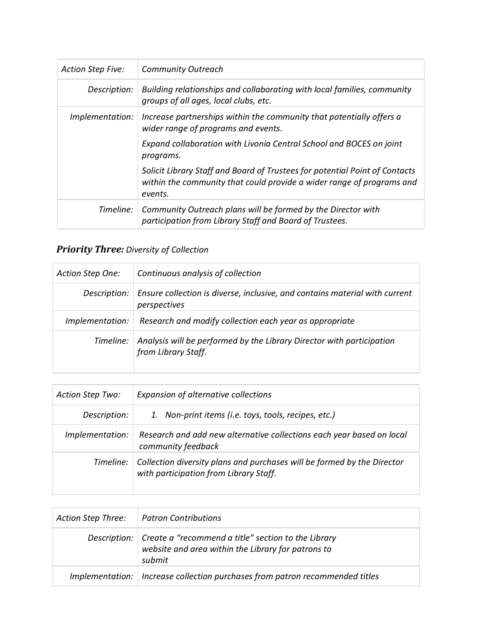| <b>Action Step Five:</b> | <b>Community Outreach</b>                                                                                                                                       |
|--------------------------|-----------------------------------------------------------------------------------------------------------------------------------------------------------------|
| Description:             | Building relationships and collaborating with local families, community<br>groups of all ages, local clubs, etc.                                                |
| Implementation:          | Increase partnerships within the community that potentially offers a<br>wider range of programs and events.                                                     |
|                          | Expand collaboration with Livonia Central School and BOCES on joint<br>programs.                                                                                |
|                          | Solicit Library Staff and Board of Trustees for potential Point of Contacts<br>within the community that could provide a wider range of programs and<br>events. |
| Timeline:                | Community Outreach plans will be formed by the Director with<br>participation from Library Staff and Board of Trustees.                                         |

# *Priority Three: Diversity of Collection*

| Action Step One: | Continuous analysis of collection                                                            |
|------------------|----------------------------------------------------------------------------------------------|
| Description:     | Ensure collection is diverse, inclusive, and contains material with current<br>perspectives  |
| Implementation:  | Research and modify collection each year as appropriate                                      |
| Timeline:        | Analysis will be performed by the Library Director with participation<br>from Library Staff. |

| <b>Action Step Two:</b> | Expansion of alternative collections                                                                              |
|-------------------------|-------------------------------------------------------------------------------------------------------------------|
| Description:            | 1. Non-print items (i.e. toys, tools, recipes, etc.)                                                              |
| Implementation:         | Research and add new alternative collections each year based on local<br>community feedback                       |
| Timeline:               | Collection diversity plans and purchases will be formed by the Director<br>with participation from Library Staff. |

| Action Step Three: | <b>Patron Contributions</b>                                                                                                        |
|--------------------|------------------------------------------------------------------------------------------------------------------------------------|
|                    | Description:   Create a "recommend a title" section to the Library<br>website and area within the Library for patrons to<br>submit |
|                    | Implementation:   Increase collection purchases from patron recommended titles                                                     |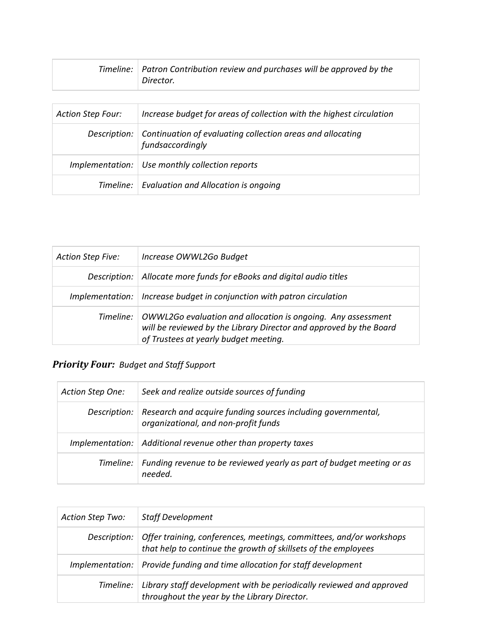| Timeline: $\vert$ Patron Contribution review and purchases will be approved by the |
|------------------------------------------------------------------------------------|
| Director.                                                                          |

| <b>Action Step Four:</b> | Increase budget for areas of collection with the highest circulation                          |
|--------------------------|-----------------------------------------------------------------------------------------------|
|                          | Description:   Continuation of evaluating collection areas and allocating<br>fundsaccordingly |
|                          | Implementation:   Use monthly collection reports                                              |
|                          | Timeline:   Evaluation and Allocation is ongoing                                              |

| <b>Action Step Five:</b> | Increase OWWL2Go Budget                                                                                                                                                     |
|--------------------------|-----------------------------------------------------------------------------------------------------------------------------------------------------------------------------|
| Description:             | Allocate more funds for eBooks and digital audio titles                                                                                                                     |
|                          | Implementation:   Increase budget in conjunction with patron circulation                                                                                                    |
| Timeline:                | OWWL2Go evaluation and allocation is ongoing. Any assessment<br>will be reviewed by the Library Director and approved by the Board<br>of Trustees at yearly budget meeting. |

# *Priority Four: Budget and Staff Support*

| Action Step One: | Seek and realize outside sources of funding                                                                         |
|------------------|---------------------------------------------------------------------------------------------------------------------|
|                  | Description:   Research and acquire funding sources including governmental,<br>organizational, and non-profit funds |
|                  | Implementation:   Additional revenue other than property taxes                                                      |
| Timeline:        | Funding revenue to be reviewed yearly as part of budget meeting or as<br>needed.                                    |

| <b>Action Step Two:</b> | <b>Staff Development</b>                                                                                                                             |
|-------------------------|------------------------------------------------------------------------------------------------------------------------------------------------------|
|                         | Description:   Offer training, conferences, meetings, committees, and/or workshops<br>that help to continue the growth of skillsets of the employees |
| Implementation:         | Provide funding and time allocation for staff development                                                                                            |
| Timeline:               | Library staff development with be periodically reviewed and approved<br>throughout the year by the Library Director.                                 |